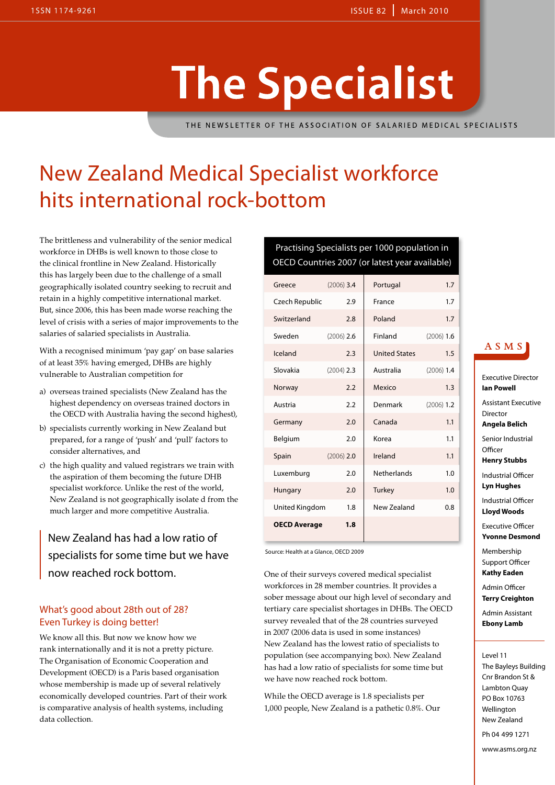## **The Specialist**

THE NEWSLETTER OF THE ASSOCIATION OF SALARIED MEDICAL SPECIALISTS

### New Zealand Medical Specialist workforce hits international rock-bottom

The brittleness and vulnerability of the senior medical workforce in DHBs is well known to those close to the clinical frontline in New Zealand. Historically this has largely been due to the challenge of a small geographically isolated country seeking to recruit and retain in a highly competitive international market. But, since 2006, this has been made worse reaching the level of crisis with a series of major improvements to the salaries of salaried specialists in Australia.

With a recognised minimum 'pay gap' on base salaries of at least 35% having emerged, DHBs are highly vulnerable to Australian competition for

- a) overseas trained specialists (New Zealand has the highest dependency on overseas trained doctors in the OECD with Australia having the second highest),
- b) specialists currently working in New Zealand but prepared, for a range of 'push' and 'pull' factors to consider alternatives, and
- c) the high quality and valued registrars we train with the aspiration of them becoming the future DHB specialist workforce. Unlike the rest of the world, New Zealand is not geographically isolate d from the much larger and more competitive Australia.

New Zealand has had a low ratio of specialists for some time but we have now reached rock bottom.

### What's good about 28th out of 28? Even Turkey is doing better!

We know all this. But now we know how we rank internationally and it is not a pretty picture. The Organisation of Economic Cooperation and Development (OECD) is a Paris based organisation whose membership is made up of several relatively economically developed countries. Part of their work is comparative analysis of health systems, including data collection.

### Practising Specialists per 1000 population in OECD Countries 2007 (or latest year available)

| Greece              | $(2006)$ 3.4 | Portugal             | 1.7          |
|---------------------|--------------|----------------------|--------------|
| Czech Republic      | 2.9          | France               | 1.7          |
| Switzerland         | 2.8          | Poland               | 1.7          |
| Sweden              | $(2006)$ 2.6 | <b>Finland</b>       | $(2006)$ 1.6 |
| Iceland             | 2.3          | <b>United States</b> | 1.5          |
| Slovakia            | $(2004)$ 2.3 | Australia            | $(2006)$ 1.4 |
| Norway              | 2.2          | Mexico               | 1.3          |
| Austria             | 2.2          | Denmark              | $(2006)$ 1.2 |
| Germany             | 2.0          | Canada               | 1.1          |
| Belgium             | 2.0          | Korea                | 1.1          |
| Spain               | $(2006)$ 2.0 | Ireland              | 1.1          |
| Luxemburg           | 2.0          | <b>Netherlands</b>   | 1.0          |
| Hungary             | 2.0          | Turkey               | 1.0          |
| United Kingdom      | 1.8          | New Zealand          | 0.8          |
| <b>OECD Average</b> | 1.8          |                      |              |

Source: Health at a Glance, OECD 2009

One of their surveys covered medical specialist workforces in 28 member countries. It provides a sober message about our high level of secondary and tertiary care specialist shortages in DHBs. The OECD survey revealed that of the 28 countries surveyed in 2007 (2006 data is used in some instances) New Zealand has the lowest ratio of specialists to population (see accompanying box). New Zealand has had a low ratio of specialists for some time but we have now reached rock bottom.

While the OECD average is 1.8 specialists per 1,000 people, New Zealand is a pathetic 0.8%. Our

ASMS

```
Executive Director
Ian Powell
Assistant Executive 
Director
Angela Belich
Senior Industrial 
Officer
Henry Stubbs
Industrial Officer
Lyn Hughes
Industrial Officer
```
**Lloyd Woods**

Executive Officer **Yvonne Desmond**

Membership Support Officer **Kathy Eaden**

Admin Officer **Terry Creighton**

Admin Assistant **Ebony Lamb**

### Level 11

The Bayleys Building Cnr Brandon St & Lambton Quay PO Box 10763 Wellington New Zealand Ph 04 499 1271 www.asms.org.nz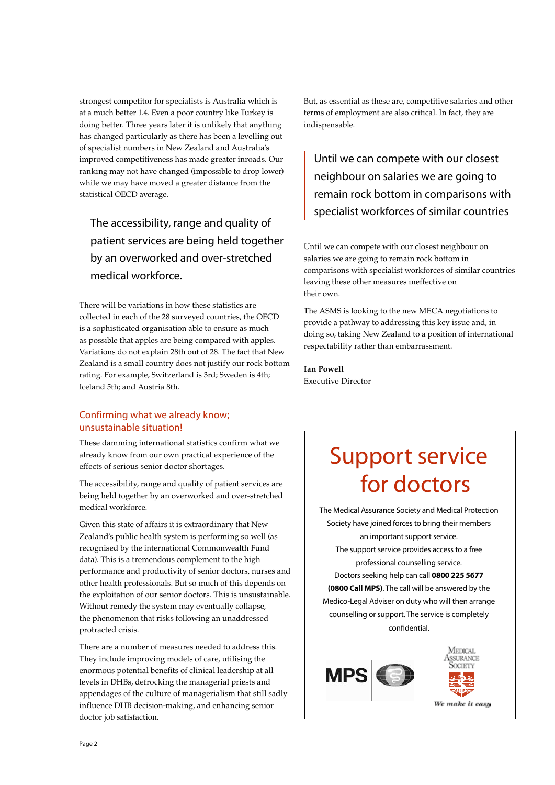strongest competitor for specialists is Australia which is at a much better 1.4. Even a poor country like Turkey is doing better. Three years later it is unlikely that anything has changed particularly as there has been a levelling out of specialist numbers in New Zealand and Australia's improved competitiveness has made greater inroads. Our ranking may not have changed (impossible to drop lower) while we may have moved a greater distance from the statistical OECD average.

The accessibility, range and quality of patient services are being held together by an overworked and over-stretched medical workforce.

There will be variations in how these statistics are collected in each of the 28 surveyed countries, the OECD is a sophisticated organisation able to ensure as much as possible that apples are being compared with apples. Variations do not explain 28th out of 28. The fact that New Zealand is a small country does not justify our rock bottom rating. For example, Switzerland is 3rd; Sweden is 4th; Iceland 5th; and Austria 8th.

### Confirming what we already know; unsustainable situation!

These damming international statistics confirm what we already know from our own practical experience of the effects of serious senior doctor shortages.

The accessibility, range and quality of patient services are being held together by an overworked and over-stretched medical workforce.

Given this state of affairs it is extraordinary that New Zealand's public health system is performing so well (as recognised by the international Commonwealth Fund data). This is a tremendous complement to the high performance and productivity of senior doctors, nurses and other health professionals. But so much of this depends on the exploitation of our senior doctors. This is unsustainable. Without remedy the system may eventually collapse, the phenomenon that risks following an unaddressed protracted crisis.

There are a number of measures needed to address this. They include improving models of care, utilising the enormous potential benefits of clinical leadership at all levels in DHBs, defrocking the managerial priests and appendages of the culture of managerialism that still sadly influence DHB decision-making, and enhancing senior doctor job satisfaction.

But, as essential as these are, competitive salaries and other terms of employment are also critical. In fact, they are indispensable.

Until we can compete with our closest neighbour on salaries we are going to remain rock bottom in comparisons with specialist workforces of similar countries

Until we can compete with our closest neighbour on salaries we are going to remain rock bottom in comparisons with specialist workforces of similar countries leaving these other measures ineffective on their own.

The ASMS is looking to the new MECA negotiations to provide a pathway to addressing this key issue and, in doing so, taking New Zealand to a position of international respectability rather than embarrassment.

**Ian Powell** Executive Director

### Support service for doctors

The Medical Assurance Society and Medical Protection Society have joined forces to bring their members an important support service. The support service provides access to a free professional counselling service. Doctors seeking help can call **0800 225 5677 (0800 Call MPS)**. The call will be answered by the Medico-Legal Adviser on duty who will then arrange counselling or support. The service is completely confidential.

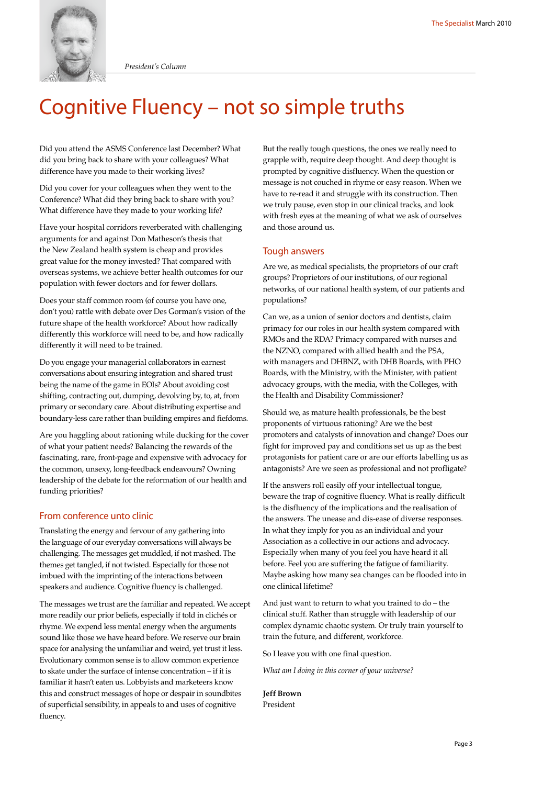

*President's Column*

### Cognitive Fluency – not so simple truths

Did you attend the ASMS Conference last December? What did you bring back to share with your colleagues? What difference have you made to their working lives?

Did you cover for your colleagues when they went to the Conference? What did they bring back to share with you? What difference have they made to your working life?

Have your hospital corridors reverberated with challenging arguments for and against Don Matheson's thesis that the New Zealand health system is cheap and provides great value for the money invested? That compared with overseas systems, we achieve better health outcomes for our population with fewer doctors and for fewer dollars.

Does your staff common room (of course you have one, don't you) rattle with debate over Des Gorman's vision of the future shape of the health workforce? About how radically differently this workforce will need to be, and how radically differently it will need to be trained.

Do you engage your managerial collaborators in earnest conversations about ensuring integration and shared trust being the name of the game in EOIs? About avoiding cost shifting, contracting out, dumping, devolving by, to, at, from primary or secondary care. About distributing expertise and boundary-less care rather than building empires and fiefdoms.

Are you haggling about rationing while ducking for the cover of what your patient needs? Balancing the rewards of the fascinating, rare, front-page and expensive with advocacy for the common, unsexy, long-feedback endeavours? Owning leadership of the debate for the reformation of our health and funding priorities?

### From conference unto clinic

Translating the energy and fervour of any gathering into the language of our everyday conversations will always be challenging. The messages get muddled, if not mashed. The themes get tangled, if not twisted. Especially for those not imbued with the imprinting of the interactions between speakers and audience. Cognitive fluency is challenged.

The messages we trust are the familiar and repeated. We accept more readily our prior beliefs, especially if told in clichés or rhyme. We expend less mental energy when the arguments sound like those we have heard before. We reserve our brain space for analysing the unfamiliar and weird, yet trust it less. Evolutionary common sense is to allow common experience to skate under the surface of intense concentration – if it is familiar it hasn't eaten us. Lobbyists and marketeers know this and construct messages of hope or despair in soundbites of superficial sensibility, in appeals to and uses of cognitive fluency.

But the really tough questions, the ones we really need to grapple with, require deep thought. And deep thought is prompted by cognitive disfluency. When the question or message is not couched in rhyme or easy reason. When we have to re-read it and struggle with its construction. Then we truly pause, even stop in our clinical tracks, and look with fresh eyes at the meaning of what we ask of ourselves and those around us.

### Tough answers

Are we, as medical specialists, the proprietors of our craft groups? Proprietors of our institutions, of our regional networks, of our national health system, of our patients and populations?

Can we, as a union of senior doctors and dentists, claim primacy for our roles in our health system compared with RMOs and the RDA? Primacy compared with nurses and the NZNO, compared with allied health and the PSA, with managers and DHBNZ, with DHB Boards, with PHO Boards, with the Ministry, with the Minister, with patient advocacy groups, with the media, with the Colleges, with the Health and Disability Commissioner?

Should we, as mature health professionals, be the best proponents of virtuous rationing? Are we the best promoters and catalysts of innovation and change? Does our fight for improved pay and conditions set us up as the best protagonists for patient care or are our efforts labelling us as antagonists? Are we seen as professional and not profligate?

If the answers roll easily off your intellectual tongue, beware the trap of cognitive fluency. What is really difficult is the disfluency of the implications and the realisation of the answers. The unease and dis-ease of diverse responses. In what they imply for you as an individual and your Association as a collective in our actions and advocacy. Especially when many of you feel you have heard it all before. Feel you are suffering the fatigue of familiarity. Maybe asking how many sea changes can be flooded into in one clinical lifetime?

And just want to return to what you trained to do – the clinical stuff. Rather than struggle with leadership of our complex dynamic chaotic system. Or truly train yourself to train the future, and different, workforce.

So I leave you with one final question.

*What am I doing in this corner of your universe?*

**Jeff Brown** President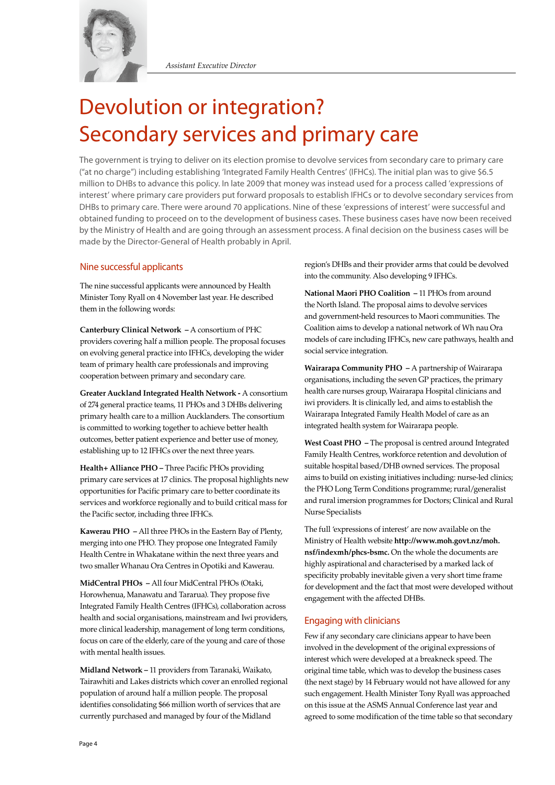

*Assistant Executive Director*

### Devolution or integration? Secondary services and primary care

The government is trying to deliver on its election promise to devolve services from secondary care to primary care ("at no charge") including establishing 'Integrated Family Health Centres' (IFHCs). The initial plan was to give \$6.5 million to DHBs to advance this policy. In late 2009 that money was instead used for a process called 'expressions of interest' where primary care providers put forward proposals to establish IFHCs or to devolve secondary services from DHBs to primary care. There were around 70 applications. Nine of these 'expressions of interest' were successful and obtained funding to proceed on to the development of business cases. These business cases have now been received by the Ministry of Health and are going through an assessment process. A final decision on the business cases will be made by the Director-General of Health probably in April.

### Nine successful applicants

The nine successful applicants were announced by Health Minister Tony Ryall on 4 November last year. He described them in the following words:

**Canterbury Clinical Network –** A consortium of PHC providers covering half a million people. The proposal focuses on evolving general practice into IFHCs, developing the wider team of primary health care professionals and improving cooperation between primary and secondary care.

**Greater Auckland Integrated Health Network -** A consortium of 274 general practice teams, 11 PHOs and 3 DHBs delivering primary health care to a million Aucklanders. The consortium is committed to working together to achieve better health outcomes, better patient experience and better use of money, establishing up to 12 IFHCs over the next three years.

**Health+ Alliance PHO –** Three Pacific PHOs providing primary care services at 17 clinics. The proposal highlights new opportunities for Pacific primary care to better coordinate its services and workforce regionally and to build critical mass for the Pacific sector, including three IFHCs.

**Kawerau PHO –** All three PHOs in the Eastern Bay of Plenty, merging into one PHO. They propose one Integrated Family Health Centre in Whakatane within the next three years and two smaller Whanau Ora Centres in Opotiki and Kawerau.

**MidCentral PHOs –** All four MidCentral PHOs (Otaki, Horowhenua, Manawatu and Tararua). They propose five Integrated Family Health Centres (IFHCs), collaboration across health and social organisations, mainstream and Iwi providers, more clinical leadership, management of long term conditions, focus on care of the elderly, care of the young and care of those with mental health issues.

**Midland Network –** 11 providers from Taranaki, Waikato, Tairawhiti and Lakes districts which cover an enrolled regional population of around half a million people. The proposal identifies consolidating \$66 million worth of services that are currently purchased and managed by four of the Midland

region's DHBs and their provider arms that could be devolved into the community. Also developing 9 IFHCs.

**National Maori PHO Coalition –** 11 PHOs from around the North Island. The proposal aims to devolve services and government-held resources to Maori communities. The Coalition aims to develop a national network of Wh nau Ora models of care including IFHCs, new care pathways, health and social service integration.

**Wairarapa Community PHO –** A partnership of Wairarapa organisations, including the seven GP practices, the primary health care nurses group, Wairarapa Hospital clinicians and iwi providers. It is clinically led, and aims to establish the Wairarapa Integrated Family Health Model of care as an integrated health system for Wairarapa people.

**West Coast PHO –** The proposal is centred around Integrated Family Health Centres, workforce retention and devolution of suitable hospital based/DHB owned services. The proposal aims to build on existing initiatives including: nurse-led clinics; the PHO Long Term Conditions programme; rural/generalist and rural imersion programmes for Doctors; Clinical and Rural Nurse Specialists

The full 'expressions of interest' are now available on the Ministry of Health website **http://www.moh.govt.nz/moh. nsf/indexmh/phcs-bsmc.** On the whole the documents are highly aspirational and characterised by a marked lack of specificity probably inevitable given a very short time frame for development and the fact that most were developed without engagement with the affected DHBs.

### Engaging with clinicians

Few if any secondary care clinicians appear to have been involved in the development of the original expressions of interest which were developed at a breakneck speed. The original time table, which was to develop the business cases (the next stage) by 14 February would not have allowed for any such engagement. Health Minister Tony Ryall was approached on this issue at the ASMS Annual Conference last year and agreed to some modification of the time table so that secondary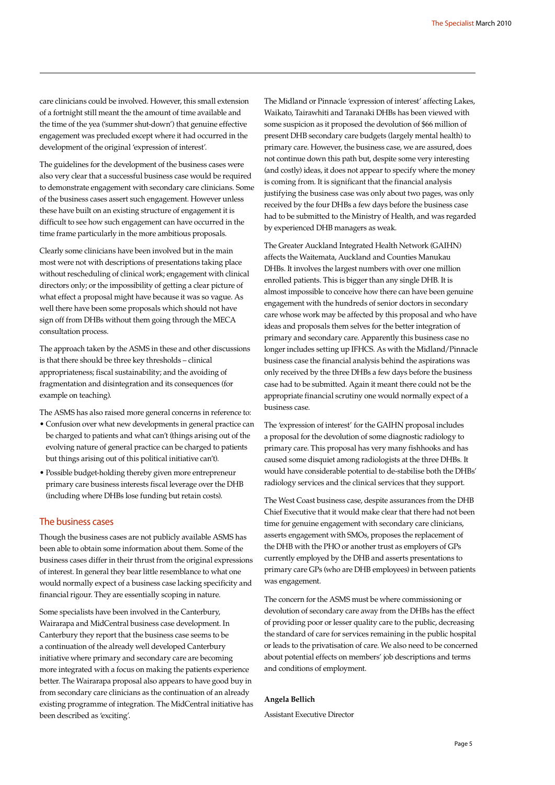care clinicians could be involved. However, this small extension of a fortnight still meant the the amount of time available and the time of the yea ('summer shut-down') that genuine effective engagement was precluded except where it had occurred in the development of the original 'expression of interest'.

The guidelines for the development of the business cases were also very clear that a successful business case would be required to demonstrate engagement with secondary care clinicians. Some of the business cases assert such engagement. However unless these have built on an existing structure of engagement it is difficult to see how such engagement can have occurred in the time frame particularly in the more ambitious proposals.

Clearly some clinicians have been involved but in the main most were not with descriptions of presentations taking place without rescheduling of clinical work; engagement with clinical directors only; or the impossibility of getting a clear picture of what effect a proposal might have because it was so vague. As well there have been some proposals which should not have sign off from DHBs without them going through the MECA consultation process.

The approach taken by the ASMS in these and other discussions is that there should be three key thresholds – clinical appropriateness; fiscal sustainability; and the avoiding of fragmentation and disintegration and its consequences (for example on teaching).

The ASMS has also raised more general concerns in reference to:

- Confusion over what new developments in general practice can be charged to patients and what can't (things arising out of the evolving nature of general practice can be charged to patients but things arising out of this political initiative can't).
- Possible budget-holding thereby given more entrepreneur primary care business interests fiscal leverage over the DHB (including where DHBs lose funding but retain costs).

### The business cases

Though the business cases are not publicly available ASMS has been able to obtain some information about them. Some of the business cases differ in their thrust from the original expressions of interest. In general they bear little resemblance to what one would normally expect of a business case lacking specificity and financial rigour. They are essentially scoping in nature.

Some specialists have been involved in the Canterbury, Wairarapa and MidCentral business case development. In Canterbury they report that the business case seems to be a continuation of the already well developed Canterbury initiative where primary and secondary care are becoming more integrated with a focus on making the patients experience better. The Wairarapa proposal also appears to have good buy in from secondary care clinicians as the continuation of an already existing programme of integration. The MidCentral initiative has been described as 'exciting'.

The Midland or Pinnacle 'expression of interest' affecting Lakes, Waikato, Tairawhiti and Taranaki DHBs has been viewed with some suspicion as it proposed the devolution of \$66 million of present DHB secondary care budgets (largely mental health) to primary care. However, the business case, we are assured, does not continue down this path but, despite some very interesting (and costly) ideas, it does not appear to specify where the money is coming from. It is significant that the financial analysis justifying the business case was only about two pages, was only received by the four DHBs a few days before the business case had to be submitted to the Ministry of Health, and was regarded by experienced DHB managers as weak.

The Greater Auckland Integrated Health Network (GAIHN) affects the Waitemata, Auckland and Counties Manukau DHBs. It involves the largest numbers with over one million enrolled patients. This is bigger than any single DHB. It is almost impossible to conceive how there can have been genuine engagement with the hundreds of senior doctors in secondary care whose work may be affected by this proposal and who have ideas and proposals them selves for the better integration of primary and secondary care. Apparently this business case no longer includes setting up IFHCS. As with the Midland/Pinnacle business case the financial analysis behind the aspirations was only received by the three DHBs a few days before the business case had to be submitted. Again it meant there could not be the appropriate financial scrutiny one would normally expect of a business case.

The 'expression of interest' for the GAIHN proposal includes a proposal for the devolution of some diagnostic radiology to primary care. This proposal has very many fishhooks and has caused some disquiet among radiologists at the three DHBs. It would have considerable potential to de-stabilise both the DHBs' radiology services and the clinical services that they support.

The West Coast business case, despite assurances from the DHB Chief Executive that it would make clear that there had not been time for genuine engagement with secondary care clinicians, asserts engagement with SMOs, proposes the replacement of the DHB with the PHO or another trust as employers of GPs currently employed by the DHB and asserts presentations to primary care GPs (who are DHB employees) in between patients was engagement.

The concern for the ASMS must be where commissioning or devolution of secondary care away from the DHBs has the effect of providing poor or lesser quality care to the public, decreasing the standard of care for services remaining in the public hospital or leads to the privatisation of care. We also need to be concerned about potential effects on members' job descriptions and terms and conditions of employment.

### **Angela Bellich**

Assistant Executive Director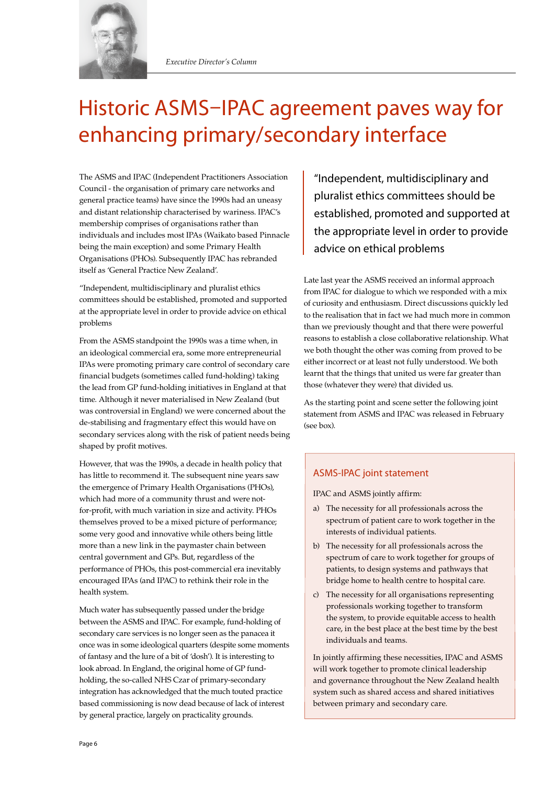

### Historic ASMS-IPAC agreement paves way for enhancing primary/secondary interface

The ASMS and IPAC (Independent Practitioners Association Council - the organisation of primary care networks and general practice teams) have since the 1990s had an uneasy and distant relationship characterised by wariness. IPAC's membership comprises of organisations rather than individuals and includes most IPAs (Waikato based Pinnacle being the main exception) and some Primary Health Organisations (PHOs). Subsequently IPAC has rebranded itself as 'General Practice New Zealand'.

"Independent, multidisciplinary and pluralist ethics committees should be established, promoted and supported at the appropriate level in order to provide advice on ethical problems

From the ASMS standpoint the 1990s was a time when, in an ideological commercial era, some more entrepreneurial IPAs were promoting primary care control of secondary care financial budgets (sometimes called fund-holding) taking the lead from GP fund-holding initiatives in England at that time. Although it never materialised in New Zealand (but was controversial in England) we were concerned about the de-stabilising and fragmentary effect this would have on secondary services along with the risk of patient needs being shaped by profit motives.

However, that was the 1990s, a decade in health policy that has little to recommend it. The subsequent nine years saw the emergence of Primary Health Organisations (PHOs), which had more of a community thrust and were notfor-profit, with much variation in size and activity. PHOs themselves proved to be a mixed picture of performance; some very good and innovative while others being little more than a new link in the paymaster chain between central government and GPs. But, regardless of the performance of PHOs, this post-commercial era inevitably encouraged IPAs (and IPAC) to rethink their role in the health system.

Much water has subsequently passed under the bridge between the ASMS and IPAC. For example, fund-holding of secondary care services is no longer seen as the panacea it once was in some ideological quarters (despite some moments of fantasy and the lure of a bit of 'dosh'). It is interesting to look abroad. In England, the original home of GP fundholding, the so-called NHS Czar of primary-secondary integration has acknowledged that the much touted practice based commissioning is now dead because of lack of interest by general practice, largely on practicality grounds.

"Independent, multidisciplinary and pluralist ethics committees should be established, promoted and supported at the appropriate level in order to provide advice on ethical problems

Late last year the ASMS received an informal approach from IPAC for dialogue to which we responded with a mix of curiosity and enthusiasm. Direct discussions quickly led to the realisation that in fact we had much more in common than we previously thought and that there were powerful reasons to establish a close collaborative relationship. What we both thought the other was coming from proved to be either incorrect or at least not fully understood. We both learnt that the things that united us were far greater than those (whatever they were) that divided us.

As the starting point and scene setter the following joint statement from ASMS and IPAC was released in February (see box).

### ASMS-IPAC joint statement

IPAC and ASMS jointly affirm:

- a) The necessity for all professionals across the spectrum of patient care to work together in the interests of individual patients.
- b) The necessity for all professionals across the spectrum of care to work together for groups of patients, to design systems and pathways that bridge home to health centre to hospital care.
- c) The necessity for all organisations representing professionals working together to transform the system, to provide equitable access to health care, in the best place at the best time by the best individuals and teams.

In jointly affirming these necessities, IPAC and ASMS will work together to promote clinical leadership and governance throughout the New Zealand health system such as shared access and shared initiatives between primary and secondary care.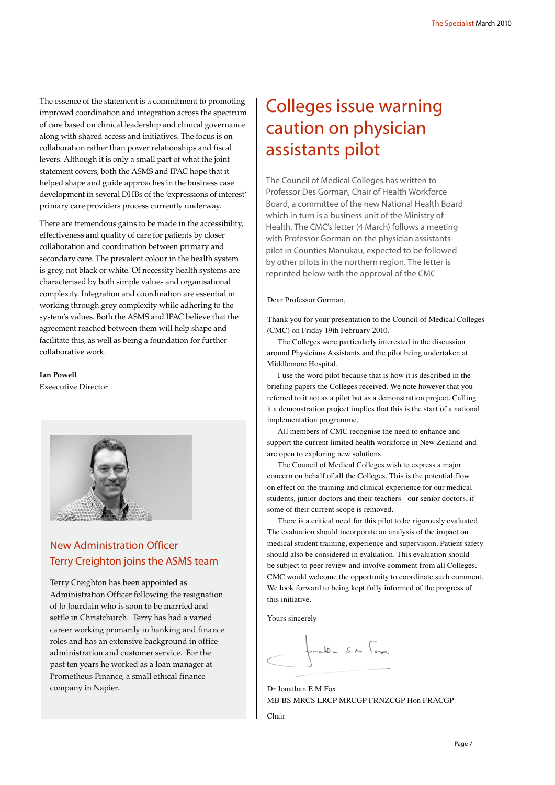The essence of the statement is a commitment to promoting improved coordination and integration across the spectrum of care based on clinical leadership and clinical governance along with shared access and initiatives. The focus is on collaboration rather than power relationships and fiscal levers. Although it is only a small part of what the joint statement covers, both the ASMS and IPAC hope that it helped shape and guide approaches in the business case development in several DHBs of the 'expressions of interest' primary care providers process currently underway.

There are tremendous gains to be made in the accessibility, effectiveness and quality of care for patients by closer collaboration and coordination between primary and secondary care. The prevalent colour in the health system is grey, not black or white. Of necessity health systems are characterised by both simple values and organisational complexity. Integration and coordination are essential in working through grey complexity while adhering to the system's values. Both the ASMS and IPAC believe that the agreement reached between them will help shape and facilitate this, as well as being a foundation for further collaborative work.

**Ian Powell** Exeecutive Director



### New Administration Officer Terry Creighton joins the ASMS team

Terry Creighton has been appointed as Administration Officer following the resignation of Jo Jourdain who is soon to be married and settle in Christchurch. Terry has had a varied career working primarily in banking and finance roles and has an extensive background in office administration and customer service. For the past ten years he worked as a loan manager at Prometheus Finance, a small ethical finance company in Napier.

### Colleges issue warning caution on physician assistants pilot

The Council of Medical Colleges has written to Professor Des Gorman, Chair of Health Workforce Board, a committee of the new National Health Board which in turn is a business unit of the Ministry of Health. The CMC's letter (4 March) follows a meeting with Professor Gorman on the physician assistants pilot in Counties Manukau, expected to be followed by other pilots in the northern region. The letter is reprinted below with the approval of the CMC

### Dear Professor Gorman,

Thank you for your presentation to the Council of Medical Colleges (CMC) on Friday 19th February 2010.

The Colleges were particularly interested in the discussion around Physicians Assistants and the pilot being undertaken at Middlemore Hospital.

I use the word pilot because that is how it is described in the briefing papers the Colleges received. We note however that you referred to it not as a pilot but as a demonstration project. Calling it a demonstration project implies that this is the start of a national implementation programme.

All members of CMC recognise the need to enhance and support the current limited health workforce in New Zealand and are open to exploring new solutions.

The Council of Medical Colleges wish to express a major concern on behalf of all the Colleges. This is the potential flow on effect on the training and clinical experience for our medical students, junior doctors and their teachers - our senior doctors, if some of their current scope is removed.

There is a critical need for this pilot to be rigorously evaluated. The evaluation should incorporate an analysis of the impact on medical student training, experience and supervision. Patient safety should also be considered in evaluation. This evaluation should be subject to peer review and involve comment from all Colleges. CMC would welcome the opportunity to coordinate such comment. We look forward to being kept fully informed of the progress of this initiative.

Yours sincerely

puelle sur fre.

Dr Jonathan E M Fox MB BS MRCS LRCP MRCGP FRNZCGP Hon FRACGP Chair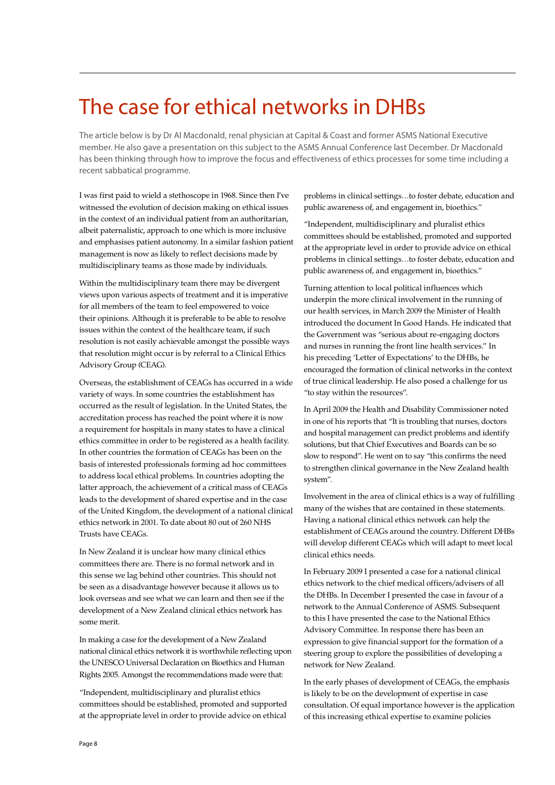### The case for ethical networks in DHBs

The article below is by Dr Al Macdonald, renal physician at Capital & Coast and former ASMS National Executive member. He also gave a presentation on this subject to the ASMS Annual Conference last December. Dr Macdonald has been thinking through how to improve the focus and effectiveness of ethics processes for some time including a recent sabbatical programme.

I was first paid to wield a stethoscope in 1968. Since then I've witnessed the evolution of decision making on ethical issues in the context of an individual patient from an authoritarian, albeit paternalistic, approach to one which is more inclusive and emphasises patient autonomy. In a similar fashion patient management is now as likely to reflect decisions made by multidisciplinary teams as those made by individuals.

Within the multidisciplinary team there may be divergent views upon various aspects of treatment and it is imperative for all members of the team to feel empowered to voice their opinions. Although it is preferable to be able to resolve issues within the context of the healthcare team, if such resolution is not easily achievable amongst the possible ways that resolution might occur is by referral to a Clinical Ethics Advisory Group (CEAG).

Overseas, the establishment of CEAGs has occurred in a wide variety of ways. In some countries the establishment has occurred as the result of legislation. In the United States, the accreditation process has reached the point where it is now a requirement for hospitals in many states to have a clinical ethics committee in order to be registered as a health facility. In other countries the formation of CEAGs has been on the basis of interested professionals forming ad hoc committees to address local ethical problems. In countries adopting the latter approach, the achievement of a critical mass of CEAGs leads to the development of shared expertise and in the case of the United Kingdom, the development of a national clinical ethics network in 2001. To date about 80 out of 260 NHS Trusts have CEAGs.

In New Zealand it is unclear how many clinical ethics committees there are. There is no formal network and in this sense we lag behind other countries. This should not be seen as a disadvantage however because it allows us to look overseas and see what we can learn and then see if the development of a New Zealand clinical ethics network has some merit.

In making a case for the development of a New Zealand national clinical ethics network it is worthwhile reflecting upon the UNESCO Universal Declaration on Bioethics and Human Rights 2005. Amongst the recommendations made were that:

"Independent, multidisciplinary and pluralist ethics committees should be established, promoted and supported at the appropriate level in order to provide advice on ethical

problems in clinical settings…to foster debate, education and public awareness of, and engagement in, bioethics."

"Independent, multidisciplinary and pluralist ethics committees should be established, promoted and supported at the appropriate level in order to provide advice on ethical problems in clinical settings…to foster debate, education and public awareness of, and engagement in, bioethics."

Turning attention to local political influences which underpin the more clinical involvement in the running of our health services, in March 2009 the Minister of Health introduced the document In Good Hands. He indicated that the Government was "serious about re-engaging doctors and nurses in running the front line health services." In his preceding 'Letter of Expectations' to the DHBs, he encouraged the formation of clinical networks in the context of true clinical leadership. He also posed a challenge for us "to stay within the resources".

In April 2009 the Health and Disability Commissioner noted in one of his reports that "It is troubling that nurses, doctors and hospital management can predict problems and identify solutions, but that Chief Executives and Boards can be so slow to respond". He went on to say "this confirms the need to strengthen clinical governance in the New Zealand health system".

Involvement in the area of clinical ethics is a way of fulfilling many of the wishes that are contained in these statements. Having a national clinical ethics network can help the establishment of CEAGs around the country. Different DHBs will develop different CEAGs which will adapt to meet local clinical ethics needs.

In February 2009 I presented a case for a national clinical ethics network to the chief medical officers/advisers of all the DHBs. In December I presented the case in favour of a network to the Annual Conference of ASMS. Subsequent to this I have presented the case to the National Ethics Advisory Committee. In response there has been an expression to give financial support for the formation of a steering group to explore the possibilities of developing a network for New Zealand.

In the early phases of development of CEAGs, the emphasis is likely to be on the development of expertise in case consultation. Of equal importance however is the application of this increasing ethical expertise to examine policies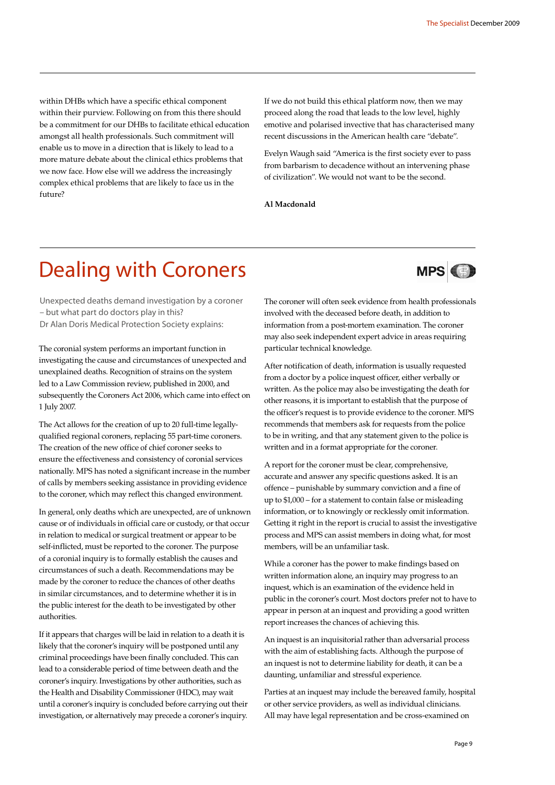within DHBs which have a specific ethical component within their purview. Following on from this there should be a commitment for our DHBs to facilitate ethical education amongst all health professionals. Such commitment will enable us to move in a direction that is likely to lead to a more mature debate about the clinical ethics problems that we now face. How else will we address the increasingly complex ethical problems that are likely to face us in the future?

If we do not build this ethical platform now, then we may proceed along the road that leads to the low level, highly emotive and polarised invective that has characterised many recent discussions in the American health care "debate".

Evelyn Waugh said "America is the first society ever to pass from barbarism to decadence without an intervening phase of civilization". We would not want to be the second.

**Al Macdonald**

### Dealing with Coroners

**MPS** 

Unexpected deaths demand investigation by a coroner – but what part do doctors play in this? Dr Alan Doris Medical Protection Society explains:

The coronial system performs an important function in investigating the cause and circumstances of unexpected and unexplained deaths. Recognition of strains on the system led to a Law Commission review, published in 2000, and subsequently the Coroners Act 2006, which came into effect on 1 July 2007.

The Act allows for the creation of up to 20 full-time legallyqualified regional coroners, replacing 55 part-time coroners. The creation of the new office of chief coroner seeks to ensure the effectiveness and consistency of coronial services nationally. MPS has noted a significant increase in the number of calls by members seeking assistance in providing evidence to the coroner, which may reflect this changed environment.

In general, only deaths which are unexpected, are of unknown cause or of individuals in official care or custody, or that occur in relation to medical or surgical treatment or appear to be self-inflicted, must be reported to the coroner. The purpose of a coronial inquiry is to formally establish the causes and circumstances of such a death. Recommendations may be made by the coroner to reduce the chances of other deaths in similar circumstances, and to determine whether it is in the public interest for the death to be investigated by other authorities.

If it appears that charges will be laid in relation to a death it is likely that the coroner's inquiry will be postponed until any criminal proceedings have been finally concluded. This can lead to a considerable period of time between death and the coroner's inquiry. Investigations by other authorities, such as the Health and Disability Commissioner (HDC), may wait until a coroner's inquiry is concluded before carrying out their investigation, or alternatively may precede a coroner's inquiry. The coroner will often seek evidence from health professionals involved with the deceased before death, in addition to information from a post-mortem examination. The coroner may also seek independent expert advice in areas requiring particular technical knowledge.

After notification of death, information is usually requested from a doctor by a police inquest officer, either verbally or written. As the police may also be investigating the death for other reasons, it is important to establish that the purpose of the officer's request is to provide evidence to the coroner. MPS recommends that members ask for requests from the police to be in writing, and that any statement given to the police is written and in a format appropriate for the coroner.

A report for the coroner must be clear, comprehensive, accurate and answer any specific questions asked. It is an offence – punishable by summary conviction and a fine of up to \$1,000 – for a statement to contain false or misleading information, or to knowingly or recklessly omit information. Getting it right in the report is crucial to assist the investigative process and MPS can assist members in doing what, for most members, will be an unfamiliar task.

While a coroner has the power to make findings based on written information alone, an inquiry may progress to an inquest, which is an examination of the evidence held in public in the coroner's court. Most doctors prefer not to have to appear in person at an inquest and providing a good written report increases the chances of achieving this.

An inquest is an inquisitorial rather than adversarial process with the aim of establishing facts. Although the purpose of an inquest is not to determine liability for death, it can be a daunting, unfamiliar and stressful experience.

Parties at an inquest may include the bereaved family, hospital or other service providers, as well as individual clinicians. All may have legal representation and be cross-examined on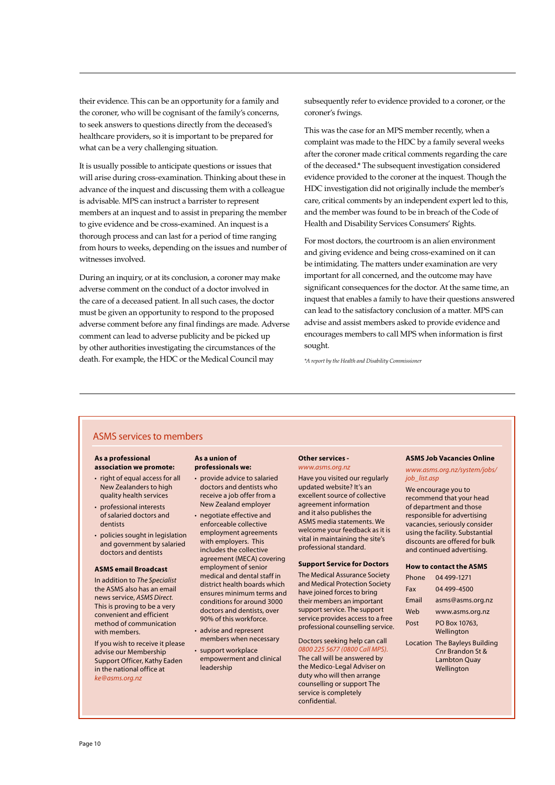their evidence. This can be an opportunity for a family and the coroner, who will be cognisant of the family's concerns, to seek answers to questions directly from the deceased's healthcare providers, so it is important to be prepared for what can be a very challenging situation.

It is usually possible to anticipate questions or issues that will arise during cross-examination. Thinking about these in advance of the inquest and discussing them with a colleague is advisable. MPS can instruct a barrister to represent members at an inquest and to assist in preparing the member to give evidence and be cross-examined. An inquest is a thorough process and can last for a period of time ranging from hours to weeks, depending on the issues and number of witnesses involved.

During an inquiry, or at its conclusion, a coroner may make adverse comment on the conduct of a doctor involved in the care of a deceased patient. In all such cases, the doctor must be given an opportunity to respond to the proposed adverse comment before any final findings are made. Adverse comment can lead to adverse publicity and be picked up by other authorities investigating the circumstances of the death. For example, the HDC or the Medical Council may

subsequently refer to evidence provided to a coroner, or the coroner's fwings.

This was the case for an MPS member recently, when a complaint was made to the HDC by a family several weeks after the coroner made critical comments regarding the care of the deceased.\* The subsequent investigation considered evidence provided to the coroner at the inquest. Though the HDC investigation did not originally include the member's care, critical comments by an independent expert led to this, and the member was found to be in breach of the Code of Health and Disability Services Consumers' Rights.

For most doctors, the courtroom is an alien environment and giving evidence and being cross-examined on it can be intimidating. The matters under examination are very important for all concerned, and the outcome may have significant consequences for the doctor. At the same time, an inquest that enables a family to have their questions answered can lead to the satisfactory conclusion of a matter. MPS can advise and assist members asked to provide evidence and encourages members to call MPS when information is first sought.

*\*A report by the Health and Disability Commissioner*

### ASMS services to members

### **As a professional association we promote:**

- right of equal access for all New Zealanders to high quality health services
- professional interests of salaried doctors and dentists
- policies sought in legislation and government by salaried doctors and dentists

#### **ASMS email Broadcast**

In addition to *The Specialist* the ASMS also has an email news service, *ASMS Direct.* This is proving to be a very convenient and efficient method of communication with members.

If you wish to receive it please advise our Membership Support Officer, Kathy Eaden in the national office at *ke@asms.org.nz*

#### **As a union of professionals we:**

- provide advice to salaried doctors and dentists who receive a job offer from a New Zealand employer
- • negotiate effective and enforceable collective employment agreements with employers. This includes the collective agreement (MECA) covering employment of senior medical and dental staff in district health boards which ensures minimum terms and conditions for around 3000 doctors and dentists, over 90% of this workforce.
- advise and represent
- members when necessary • support workplace
	- empowerment and clinical leadership

#### **Other services**  *www.asms.org.nz*

Have you visited our regularly updated website? It's an excellent source of collective agreement information and it also publishes the ASMS media statements. We welcome your feedback as it is vital in maintaining the site's professional standard.

#### **Support Service for Doctors**

The Medical Assurance Society and Medical Protection Society have joined forces to bring their members an important support service. The support service provides access to a free professional counselling service.

Doctors seeking help can call *0800 225 5677 (0800 Call MPS).*  The call will be answered by the Medico-Legal Adviser on duty who will then arrange counselling or support The service is completely confidential.

### **ASMS Job Vacancies Online**

*www.asms.org.nz/system/jobs/ job\_list.asp*

We encourage you to recommend that your head of department and those responsible for advertising vacancies, seriously consider using the facility. Substantial discounts are offered for bulk and continued advertising.

#### **How to contact the ASMS**

| Phone | 04 499-1271                          |
|-------|--------------------------------------|
| Fax   | 04 499-4500                          |
| Fmail | asms@asms.org.nz                     |
| Web   | www.asms.org.nz                      |
| Post  | PO Box 10763,                        |
|       | Wellington                           |
|       | <b>Location The Bayleys Building</b> |
|       | Cnr Brandon St &                     |
|       | <b>Lambton Quay</b>                  |
|       | Wellington                           |
|       |                                      |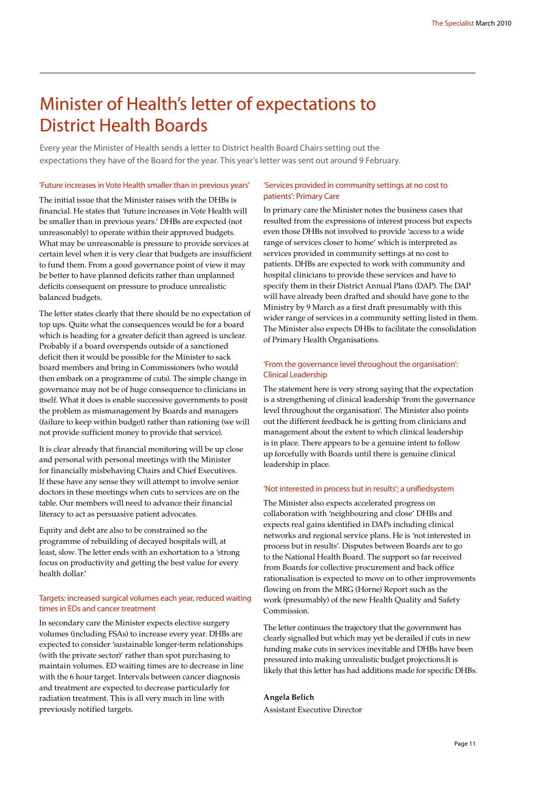### Minister of Health's letter of expectations to District Health Boards

Every year the Minister of Health sends a letter to District health Board Chairs setting out the expectations they have of the Board for the year. This year's letter was sent out around 9 February.

#### 'Future increases in Vote Health smaller than in previous years'

The initial issue that the Minister raises with the DHBs is financial. He states that 'future increases in Vote Health will be smaller than in previous years.' DHBs are expected (not unreasonably) to operate within their approved budgets. What may be unreasonable is pressure to provide services at certain level when it is very clear that budgets are insufficient to fund them. From a good governance point of view it may be better to have planned deficits rather than unplanned deficits consequent on pressure to produce unrealistic balanced budgets.

The letter states clearly that there should be no expectation of top ups. Quite what the consequences would be for a board which is heading for a greater deficit than agreed is unclear. Probably if a board overspends outside of a sanctioned deficit then it would be possible for the Minister to sack board members and bring in Commissioners (who would then embark on a programme of cuts). The simple change in governance may not be of huge consequence to clinicians in itself. What it does is enable successive governments to posit the problem as mismanagement by Boards and managers (failure to keep within budget) rather than rationing (we will not provide sufficient money to provide that service).

It is clear already that financial monitoring will be up close and personal with personal meetings with the Minister for financially misbehaving Chairs and Chief Executives. If these have any sense they will attempt to involve senior doctors in these meetings when cuts to services are on the table. Our members will need to advance their financial literacy to act as persuasive patient advocates.

Equity and debt are also to be constrained so the programme of rebuilding of decayed hospitals will, at least, slow. The letter ends with an exhortation to a 'strong focus on productivity and getting the best value for every health dollar.'

### Targets: increased surgical volumes each year, reduced waiting times in EDs and cancer treatment

In secondary care the Minister expects elective surgery volumes (including FSAs) to increase every year. DHBs are expected to consider 'sustainable longer-term relationships (with the private sector)' rather than spot purchasing to maintain volumes. ED waiting times are to decrease in line with the 6 hour target. Intervals between cancer diagnosis and treatment are expected to decrease particularly for radiation treatment. This is all very much in line with previously notified targets.

### 'Services provided in community settings at no cost to patients': Primary Care

In primary care the Minister notes the business cases that resulted from the expressions of interest process but expects even those DHBs not involved to provide 'access to a wide range of services closer to home' which is interpreted as services provided in community settings at no cost to patients. DHBs are expected to work with community and hospital clinicians to provide these services and have to specify them in their District Annual Plans (DAP). The DAP will have already been drafted and should have gone to the Ministry by 9 March as a first draft presumably with this wider range of services in a community setting listed in them. The Minister also expects DHBs to facilitate the consolidation of Primary Health Organisations.

### 'From the governance level throughout the organisation': Clinical Leadership

The statement here is very strong saying that the expectation is a strengthening of clinical leadership 'from the governance level throughout the organisation'. The Minister also points out the different feedback he is getting from clinicians and management about the extent to which clinical leadership is in place. There appears to be a genuine intent to follow up forcefully with Boards until there is genuine clinical leadership in place.

#### 'Not interested in process but in results'; a unifiedsystem

The Minister also expects accelerated progress on collaboration with 'neighbouring and close' DHBs and expects real gains identified in DAPs including clinical networks and regional service plans. He is 'not interested in process but in results'. Disputes between Boards are to go to the National Health Board. The support so far received from Boards for collective procurement and back office rationalisation is expected to move on to other improvements flowing on from the MRG (Horne) Report such as the work (presumably) of the new Health Quality and Safety Commission.

The letter continues the trajectory that the government has clearly signalled but which may yet be derailed if cuts in new funding make cuts in services inevitable and DHBs have been pressured into making unrealistic budget projections.It is likely that this letter has had additions made for specific DHBs.

#### **Angela Belich**

Assistant Executive Director